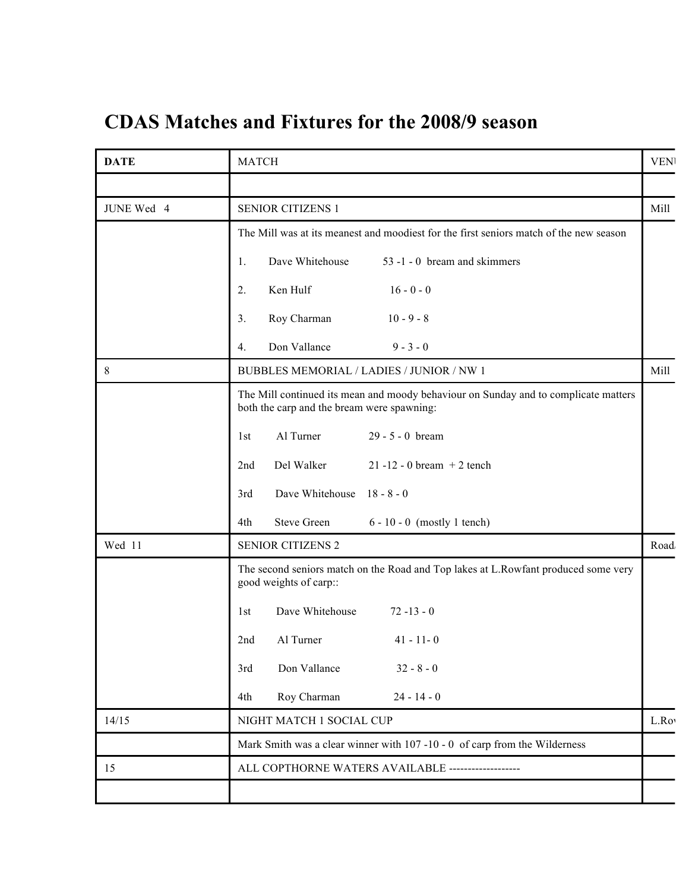## **CDAS Matches and Fixtures for the 2008/9 season**

| <b>DATE</b> | <b>MATCH</b>                                                                                                                      | <b>VEN</b> |
|-------------|-----------------------------------------------------------------------------------------------------------------------------------|------------|
|             |                                                                                                                                   |            |
| JUNE Wed 4  | <b>SENIOR CITIZENS 1</b>                                                                                                          | Mill       |
|             | The Mill was at its meanest and moodiest for the first seniors match of the new season                                            |            |
|             | Dave Whitehouse<br>53 -1 - 0 bream and skimmers<br>1.                                                                             |            |
|             | Ken Hulf<br>$16 - 0 - 0$<br>2.                                                                                                    |            |
|             | Roy Charman<br>3.<br>$10 - 9 - 8$                                                                                                 |            |
|             | Don Vallance<br>$9 - 3 - 0$<br>4.                                                                                                 |            |
| $8\,$       | BUBBLES MEMORIAL / LADIES / JUNIOR / NW 1                                                                                         | Mill       |
|             | The Mill continued its mean and moody behaviour on Sunday and to complicate matters<br>both the carp and the bream were spawning: |            |
|             | Al Turner<br>$29 - 5 - 0$ bream<br>1st                                                                                            |            |
|             | Del Walker<br>$21 - 12 - 0$ bream $+ 2$ tench<br>2nd                                                                              |            |
|             | Dave Whitehouse 18 - 8 - 0<br>3rd                                                                                                 |            |
|             | <b>Steve Green</b><br>$6 - 10 - 0$ (mostly 1 tench)<br>4th                                                                        |            |
| Wed 11      | <b>SENIOR CITIZENS 2</b>                                                                                                          | Road       |
|             | The second seniors match on the Road and Top lakes at L.Rowfant produced some very<br>good weights of carp::                      |            |
|             | Dave Whitehouse<br>$72 - 13 - 0$<br>1st                                                                                           |            |
|             | Al Turner<br>$41 - 11 - 0$<br>2nd                                                                                                 |            |
|             | $32 - 8 - 0$<br>Don Vallance<br>3rd                                                                                               |            |
|             | Roy Charman<br>$24 - 14 - 0$<br>4th                                                                                               |            |
| 14/15       | NIGHT MATCH 1 SOCIAL CUP                                                                                                          | L.Roy      |
|             | Mark Smith was a clear winner with 107-10-0 of carp from the Wilderness                                                           |            |
| 15          | ALL COPTHORNE WATERS AVAILABLE -------------------                                                                                |            |
|             |                                                                                                                                   |            |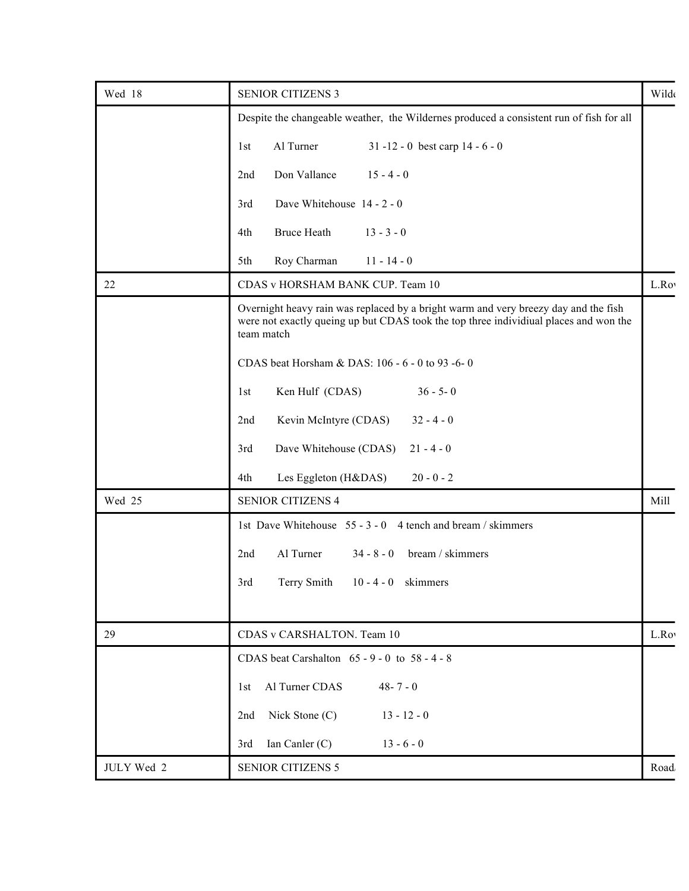| Wed 18     | <b>SENIOR CITIZENS 3</b>                                                                                                                                                                   | Wilde |
|------------|--------------------------------------------------------------------------------------------------------------------------------------------------------------------------------------------|-------|
|            | Despite the changeable weather, the Wildernes produced a consistent run of fish for all                                                                                                    |       |
|            | 31 -12 - 0 best carp $14 - 6 - 0$<br>Al Turner<br>1st                                                                                                                                      |       |
|            | $15 - 4 - 0$<br>2nd<br>Don Vallance                                                                                                                                                        |       |
|            | Dave Whitehouse 14 - 2 - 0<br>3rd                                                                                                                                                          |       |
|            | $13 - 3 - 0$<br>4th<br><b>Bruce Heath</b>                                                                                                                                                  |       |
|            | Roy Charman<br>$11 - 14 - 0$<br>5th                                                                                                                                                        |       |
| 22         | CDAS v HORSHAM BANK CUP. Team 10                                                                                                                                                           | L.Roy |
|            | Overnight heavy rain was replaced by a bright warm and very breezy day and the fish<br>were not exactly queing up but CDAS took the top three individiual places and won the<br>team match |       |
|            | CDAS beat Horsham & DAS: 106 - 6 - 0 to 93 - 6-0                                                                                                                                           |       |
|            | $36 - 5 - 0$<br>Ken Hulf (CDAS)<br>1st                                                                                                                                                     |       |
|            | Kevin McIntyre (CDAS)<br>2nd<br>$32 - 4 - 0$                                                                                                                                               |       |
|            | Dave Whitehouse (CDAS) 21 - 4 - 0<br>3rd                                                                                                                                                   |       |
|            | Les Eggleton (H&DAS)<br>$20 - 0 - 2$<br>4th                                                                                                                                                |       |
| Wed 25     | <b>SENIOR CITIZENS 4</b>                                                                                                                                                                   | Mill  |
|            | 1st Dave Whitehouse 55 - 3 - 0 4 tench and bream / skimmers                                                                                                                                |       |
|            | Al Turner<br>bream / skimmers<br>2nd<br>$34 - 8 - 0$                                                                                                                                       |       |
|            | 3rd<br>Terry Smith 10 - 4 - 0 skimmers                                                                                                                                                     |       |
|            |                                                                                                                                                                                            |       |
| 29         | CDAS v CARSHALTON. Team 10                                                                                                                                                                 | L.Roy |
|            | CDAS beat Carshalton $65 - 9 - 0$ to $58 - 4 - 8$                                                                                                                                          |       |
|            | 1st Al Turner CDAS<br>$48 - 7 - 0$                                                                                                                                                         |       |
|            | Nick Stone (C)<br>$13 - 12 - 0$<br>2nd                                                                                                                                                     |       |
|            | 3rd Ian Canler (C)<br>$13 - 6 - 0$                                                                                                                                                         |       |
| JULY Wed 2 | <b>SENIOR CITIZENS 5</b>                                                                                                                                                                   | Road  |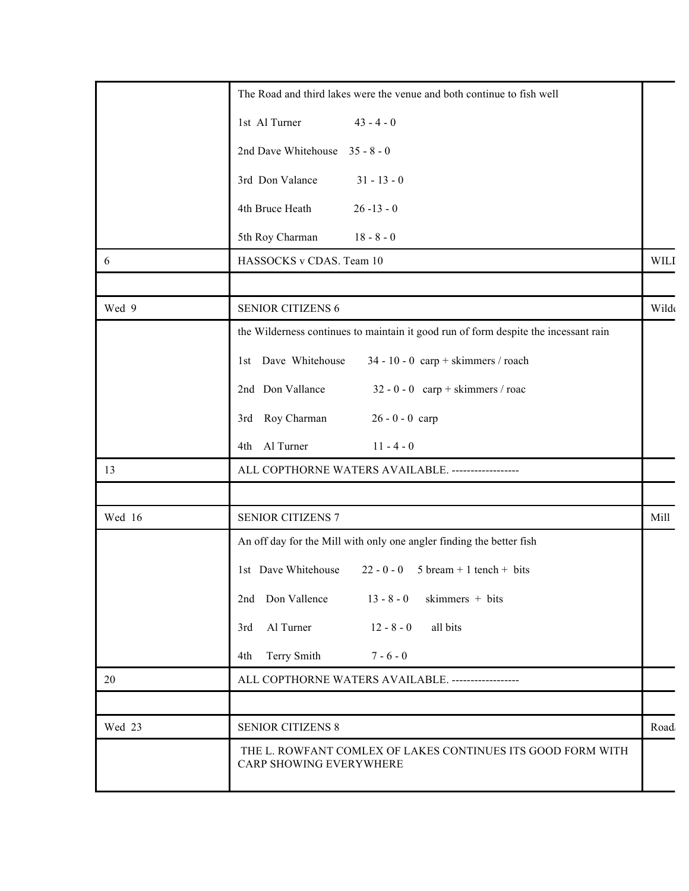|        | The Road and third lakes were the venue and both continue to fish well                 |             |
|--------|----------------------------------------------------------------------------------------|-------------|
|        | 1st Al Turner<br>$43 - 4 - 0$                                                          |             |
|        | 2nd Dave Whitehouse 35 - 8 - 0                                                         |             |
|        | 3rd Don Valance<br>$31 - 13 - 0$                                                       |             |
|        | 4th Bruce Heath<br>$26 - 13 - 0$                                                       |             |
|        | 5th Roy Charman<br>$18 - 8 - 0$                                                        |             |
| 6      | HASSOCKS v CDAS. Team 10                                                               | <b>WILI</b> |
|        |                                                                                        |             |
| Wed 9  | <b>SENIOR CITIZENS 6</b>                                                               | Wilde       |
|        | the Wilderness continues to maintain it good run of form despite the incessant rain    |             |
|        | 1st Dave Whitehouse<br>$34 - 10 - 0$ carp + skimmers / roach                           |             |
|        | 2nd Don Vallance<br>$32 - 0 - 0$ carp + skimmers / roac                                |             |
|        | 3rd Roy Charman<br>$26 - 0 - 0$ carp                                                   |             |
|        | 4th Al Turner<br>$11 - 4 - 0$                                                          |             |
| 13     | ALL COPTHORNE WATERS AVAILABLE. ------------------                                     |             |
|        |                                                                                        |             |
| Wed 16 | <b>SENIOR CITIZENS 7</b>                                                               | Mill        |
|        | An off day for the Mill with only one angler finding the better fish                   |             |
|        | 1st Dave Whitehouse<br>$22 - 0 - 0$ 5 bream + 1 tench + bits                           |             |
|        | 2nd Don Vallence<br>$13 - 8 - 0$ skimmers + bits                                       |             |
|        | $12 - 8 - 0$<br>3rd Al Turner<br>all bits                                              |             |
|        | 4th Terry Smith<br>$7 - 6 - 0$                                                         |             |
| 20     | ALL COPTHORNE WATERS AVAILABLE. ------------------                                     |             |
|        |                                                                                        |             |
| Wed 23 | <b>SENIOR CITIZENS 8</b>                                                               | Road        |
|        | THE L. ROWFANT COMLEX OF LAKES CONTINUES ITS GOOD FORM WITH<br>CARP SHOWING EVERYWHERE |             |
|        |                                                                                        |             |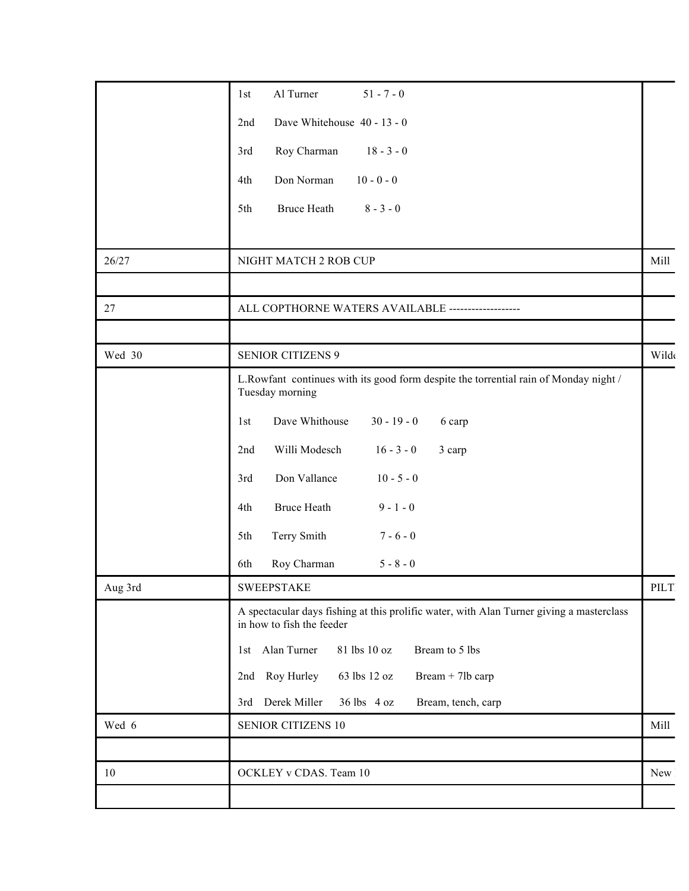|         | Al Turner<br>$51 - 7 - 0$<br>1st                                                                                      |       |
|---------|-----------------------------------------------------------------------------------------------------------------------|-------|
|         | Dave Whitehouse 40 - 13 - 0<br>2nd                                                                                    |       |
|         | Roy Charman<br>$18 - 3 - 0$<br>3rd                                                                                    |       |
|         | Don Norman<br>$10 - 0 - 0$<br>4th                                                                                     |       |
|         | 5th<br>Bruce Heath<br>$8 - 3 - 0$                                                                                     |       |
|         |                                                                                                                       |       |
| 26/27   | NIGHT MATCH 2 ROB CUP                                                                                                 | Mill  |
|         |                                                                                                                       |       |
| 27      | ALL COPTHORNE WATERS AVAILABLE -------------------                                                                    |       |
|         |                                                                                                                       |       |
| Wed 30  | <b>SENIOR CITIZENS 9</b>                                                                                              | Wilde |
|         | L.Rowfant continues with its good form despite the torrential rain of Monday night /<br>Tuesday morning               |       |
|         | Dave Whithouse<br>$30 - 19 - 0$<br>1st<br>6 carp                                                                      |       |
|         | Willi Modesch<br>2nd<br>$16 - 3 - 0$<br>3 carp                                                                        |       |
|         | Don Vallance<br>$10 - 5 - 0$<br>3rd                                                                                   |       |
|         | <b>Bruce Heath</b><br>$9 - 1 - 0$<br>4th                                                                              |       |
|         | Terry Smith<br>$7 - 6 - 0$<br>5th                                                                                     |       |
|         | Roy Charman<br>$5 - 8 - 0$<br>6th                                                                                     |       |
| Aug 3rd | <b>SWEEPSTAKE</b>                                                                                                     | PILT  |
|         | A spectacular days fishing at this prolific water, with Alan Turner giving a masterclass<br>in how to fish the feeder |       |
|         | 1st Alan Turner<br>81 lbs 10 oz<br>Bream to 5 lbs                                                                     |       |
|         | 2nd Roy Hurley<br>Bream + 7lb carp<br>63 lbs 12 oz                                                                    |       |
|         | 3rd Derek Miller 36 lbs 4 oz<br>Bream, tench, carp                                                                    |       |
| Wed 6   | <b>SENIOR CITIZENS 10</b>                                                                                             | Mill  |
|         |                                                                                                                       |       |
| 10      | OCKLEY v CDAS. Team 10                                                                                                | New   |
|         |                                                                                                                       |       |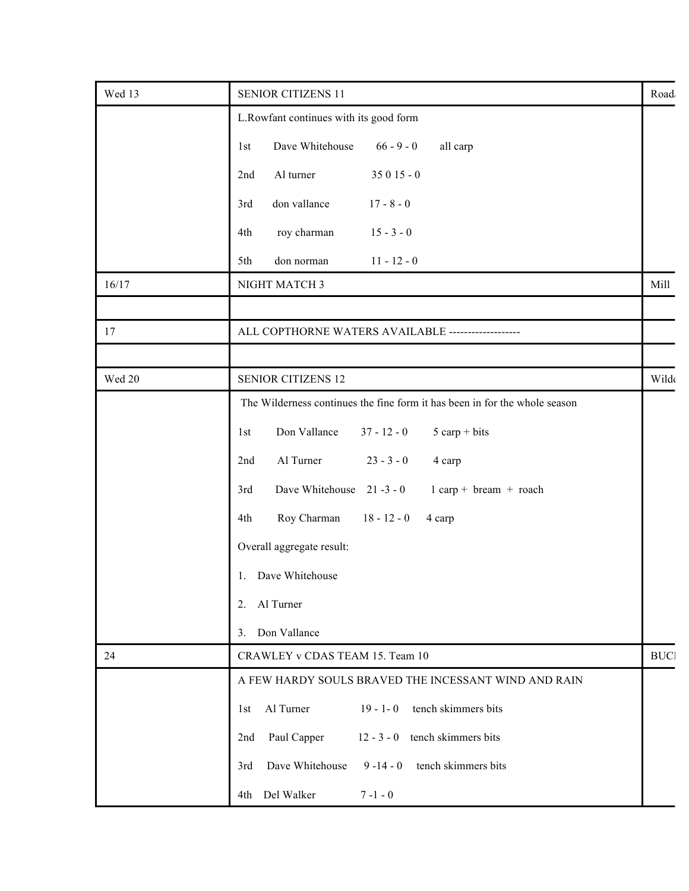| Wed 13 | <b>SENIOR CITIZENS 11</b>                                                  | Road       |
|--------|----------------------------------------------------------------------------|------------|
|        | L.Rowfant continues with its good form                                     |            |
|        | Dave Whitehouse<br>$66 - 9 - 0$<br>all carp<br>1st                         |            |
|        | Al turner<br>$35015 - 0$<br>2nd                                            |            |
|        | don vallance<br>$17 - 8 - 0$<br>3rd                                        |            |
|        | $15 - 3 - 0$<br>4th<br>roy charman                                         |            |
|        | $11 - 12 - 0$<br>5th<br>don norman                                         |            |
| 16/17  | NIGHT MATCH 3                                                              | Mill       |
|        |                                                                            |            |
| 17     | ALL COPTHORNE WATERS AVAILABLE -------------------                         |            |
|        |                                                                            |            |
| Wed 20 | <b>SENIOR CITIZENS 12</b>                                                  | Wilde      |
|        | The Wilderness continues the fine form it has been in for the whole season |            |
|        | Don Vallance<br>$5$ carp + bits<br>$37 - 12 - 0$<br>1st                    |            |
|        | Al Turner<br>2nd<br>$23 - 3 - 0$<br>4 carp                                 |            |
|        | 3rd<br>Dave Whitehouse 21-3-0<br>$1$ carp + bream + roach                  |            |
|        | Roy Charman<br>$18 - 12 - 0$<br>4th<br>4 carp                              |            |
|        | Overall aggregate result:                                                  |            |
|        | 1. Dave Whitehouse                                                         |            |
|        | 2. Al Turner                                                               |            |
|        | 3. Don Vallance                                                            |            |
| 24     | CRAWLEY v CDAS TEAM 15. Team 10                                            | <b>BUC</b> |
|        | A FEW HARDY SOULS BRAVED THE INCESSANT WIND AND RAIN                       |            |
|        | 1st Al Turner<br>tench skimmers bits<br>$19 - 1 - 0$                       |            |
|        | 2nd Paul Capper<br>$12 - 3 - 0$ tench skimmers bits                        |            |
|        | tench skimmers bits<br>Dave Whitehouse<br>$9 - 14 - 0$<br>3rd              |            |
|        | 4th Del Walker<br>$7 - 1 - 0$                                              |            |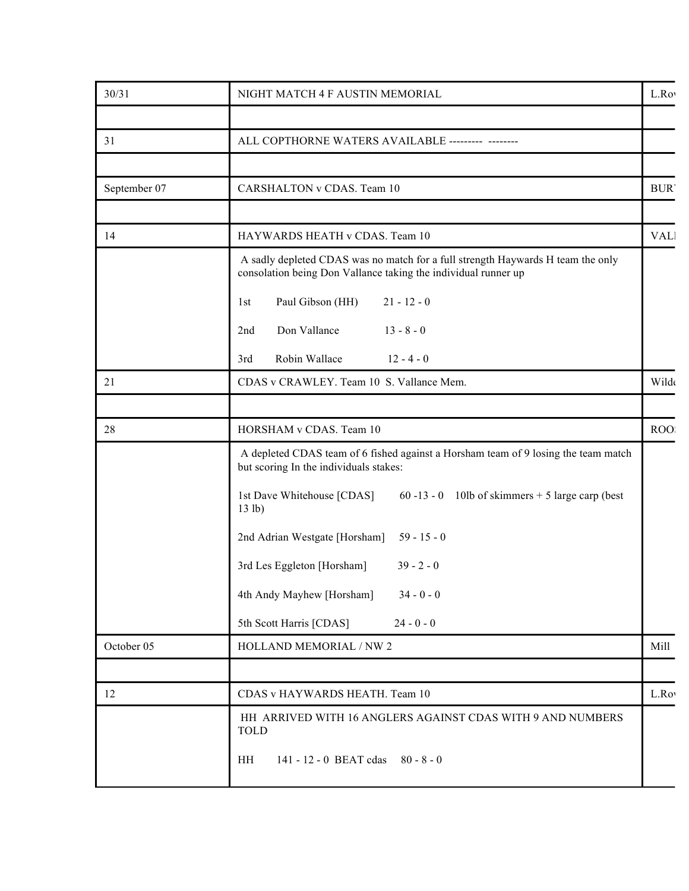| 30/31        | NIGHT MATCH 4 F AUSTIN MEMORIAL                                                                                                                   | L.Roy      |
|--------------|---------------------------------------------------------------------------------------------------------------------------------------------------|------------|
|              |                                                                                                                                                   |            |
| 31           | ALL COPTHORNE WATERS AVAILABLE --------- --------                                                                                                 |            |
|              |                                                                                                                                                   |            |
| September 07 | CARSHALTON v CDAS. Team 10                                                                                                                        | <b>BUR</b> |
|              |                                                                                                                                                   |            |
| 14           | HAYWARDS HEATH v CDAS. Team 10                                                                                                                    | <b>VAL</b> |
|              | A sadly depleted CDAS was no match for a full strength Haywards H team the only<br>consolation being Don Vallance taking the individual runner up |            |
|              | Paul Gibson (HH)<br>$21 - 12 - 0$<br>1st                                                                                                          |            |
|              | Don Vallance<br>$13 - 8 - 0$<br>2nd                                                                                                               |            |
|              | Robin Wallace<br>$12 - 4 - 0$<br>3rd                                                                                                              |            |
| 21           | CDAS v CRAWLEY. Team 10 S. Vallance Mem.                                                                                                          | Wilde      |
|              |                                                                                                                                                   |            |
| 28           | HORSHAM v CDAS. Team 10                                                                                                                           | ROO.       |
|              | A depleted CDAS team of 6 fished against a Horsham team of 9 losing the team match<br>but scoring In the individuals stakes:                      |            |
|              | $60 - 13 - 0$ 10lb of skimmers + 5 large carp (best<br>1st Dave Whitehouse [CDAS]<br>13 lb)                                                       |            |
|              | 2nd Adrian Westgate [Horsham] 59 - 15 - 0                                                                                                         |            |
|              | 3rd Les Eggleton [Horsham]<br>$39 - 2 - 0$                                                                                                        |            |
|              | 4th Andy Mayhew [Horsham]<br>$34 - 0 - 0$                                                                                                         |            |
|              | 5th Scott Harris [CDAS]<br>$24 - 0 - 0$                                                                                                           |            |
| October 05   | HOLLAND MEMORIAL / NW 2                                                                                                                           | Mill       |
|              |                                                                                                                                                   |            |
| 12           | CDAS v HAYWARDS HEATH. Team 10                                                                                                                    | L.Roy      |
|              | HH ARRIVED WITH 16 ANGLERS AGAINST CDAS WITH 9 AND NUMBERS<br><b>TOLD</b>                                                                         |            |
|              | 141 - 12 - 0 BEAT cdas 80 - 8 - 0<br>HH                                                                                                           |            |
|              |                                                                                                                                                   |            |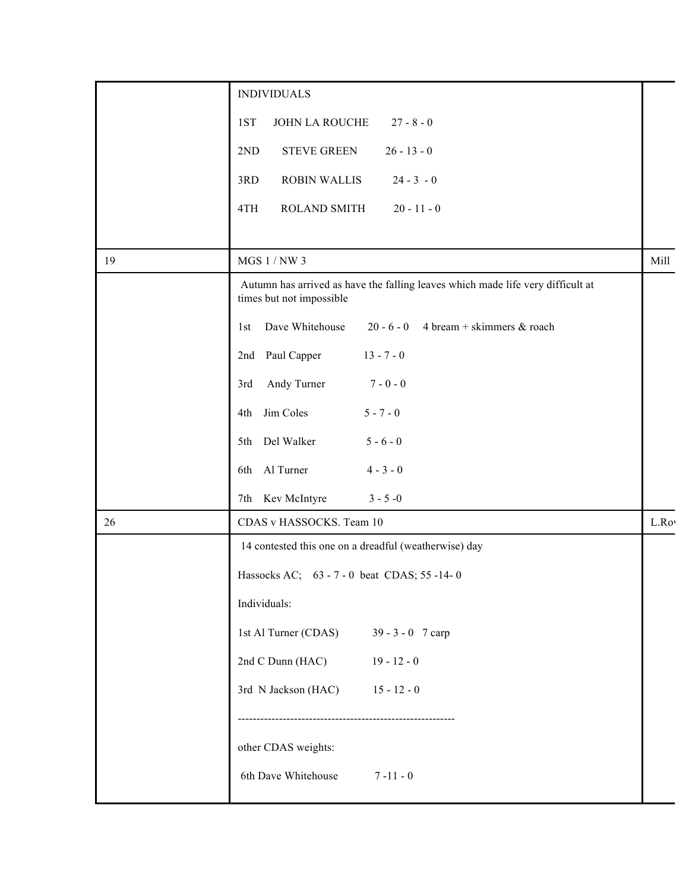|    | <b>INDIVIDUALS</b>                                                                                          |       |
|----|-------------------------------------------------------------------------------------------------------------|-------|
|    | JOHN LA ROUCHE<br>$27 - 8 - 0$<br>1ST                                                                       |       |
|    | <b>STEVE GREEN</b><br>$26 - 13 - 0$<br>2ND                                                                  |       |
|    | $24 - 3 - 0$<br><b>ROBIN WALLIS</b><br>3RD                                                                  |       |
|    | ROLAND SMITH<br>$20 - 11 - 0$<br>4TH                                                                        |       |
|    |                                                                                                             |       |
| 19 | MGS $1/NW$ 3                                                                                                | Mill  |
|    | Autumn has arrived as have the falling leaves which made life very difficult at<br>times but not impossible |       |
|    | 1st Dave Whitehouse<br>20 - 6 - 0 4 bream + skimmers & roach                                                |       |
|    | 2nd Paul Capper<br>$13 - 7 - 0$                                                                             |       |
|    | 3rd Andy Turner<br>$7 - 0 - 0$                                                                              |       |
|    | 4th Jim Coles<br>$5 - 7 - 0$                                                                                |       |
|    | $5 - 6 - 0$<br>5th Del Walker                                                                               |       |
|    | $4 - 3 - 0$<br>6th Al Turner                                                                                |       |
|    | 7th Kev McIntyre<br>$3 - 5 - 0$                                                                             |       |
| 26 | CDAS v HASSOCKS. Team 10                                                                                    | L.Rov |
|    | 14 contested this one on a dreadful (weatherwise) day                                                       |       |
|    | Hassocks AC; 63 - 7 - 0 beat CDAS; 55 -14-0                                                                 |       |
|    | Individuals:                                                                                                |       |
|    | 1st Al Turner (CDAS)<br>$39 - 3 - 0$ 7 carp                                                                 |       |
|    | 2nd C Dunn (HAC)<br>$19 - 12 - 0$                                                                           |       |
|    | 3rd N Jackson (HAC)<br>$15 - 12 - 0$                                                                        |       |
|    |                                                                                                             |       |
|    | other CDAS weights:                                                                                         |       |
|    | 6th Dave Whitehouse<br>$7 - 11 - 0$                                                                         |       |
|    |                                                                                                             |       |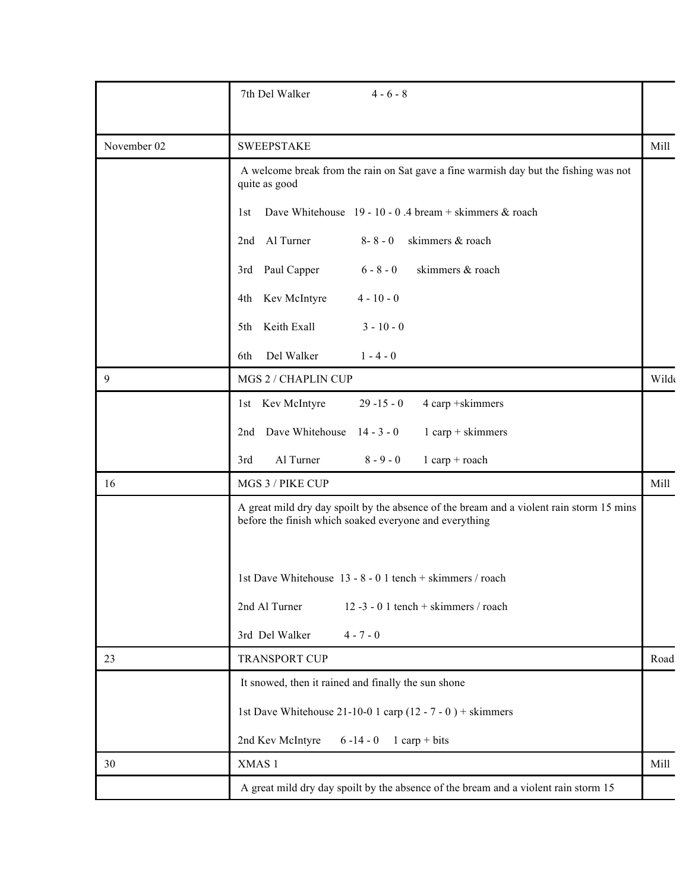|             | $4 - 6 - 8$<br>7th Del Walker                                                                                                                      |       |
|-------------|----------------------------------------------------------------------------------------------------------------------------------------------------|-------|
|             |                                                                                                                                                    |       |
| November 02 | <b>SWEEPSTAKE</b>                                                                                                                                  | Mill  |
|             | A welcome break from the rain on Sat gave a fine warmish day but the fishing was not<br>quite as good                                              |       |
|             | Dave Whitehouse $19 - 10 - 0.4$ bream + skimmers & roach<br>1st                                                                                    |       |
|             | 2nd Al Turner<br>skimmers & roach<br>$8 - 8 - 0$                                                                                                   |       |
|             | 3rd Paul Capper<br>skimmers & roach<br>$6 - 8 - 0$                                                                                                 |       |
|             | 4th Kev McIntyre<br>$4 - 10 - 0$                                                                                                                   |       |
|             | 5th Keith Exall<br>$3 - 10 - 0$                                                                                                                    |       |
|             | Del Walker<br>$1 - 4 - 0$<br>6th                                                                                                                   |       |
| 9           | MGS 2 / CHAPLIN CUP                                                                                                                                | Wilde |
|             | 1st Kev McIntyre<br>$29 - 15 - 0$<br>4 carp +skimmers                                                                                              |       |
|             | Dave Whitehouse 14 - 3 - 0<br>$1$ carp + skimmers<br>2nd                                                                                           |       |
|             | Al Turner<br>$8 - 9 - 0$<br>3rd<br>$1$ carp + roach                                                                                                |       |
| 16          | MGS 3 / PIKE CUP                                                                                                                                   | Mill  |
|             | A great mild dry day spoilt by the absence of the bream and a violent rain storm 15 mins<br>before the finish which soaked everyone and everything |       |
|             | 1st Dave Whitehouse 13 - 8 - 0 1 tench + skimmers / roach<br>12 -3 - 0 1 tench + skimmers / roach<br>2nd Al Turner                                 |       |
|             | 3rd Del Walker<br>$4 - 7 - 0$                                                                                                                      |       |
| 23          | TRANSPORT CUP                                                                                                                                      | Road  |
|             | It snowed, then it rained and finally the sun shone                                                                                                |       |
|             | 1st Dave Whitehouse 21-10-0 1 carp (12 - 7 - 0) + skimmers                                                                                         |       |
|             | 2nd Kev McIntyre $6 - 14 - 0$ 1 carp + bits                                                                                                        |       |
| 30          | XMAS 1                                                                                                                                             | Mill  |
|             | A great mild dry day spoilt by the absence of the bream and a violent rain storm 15                                                                |       |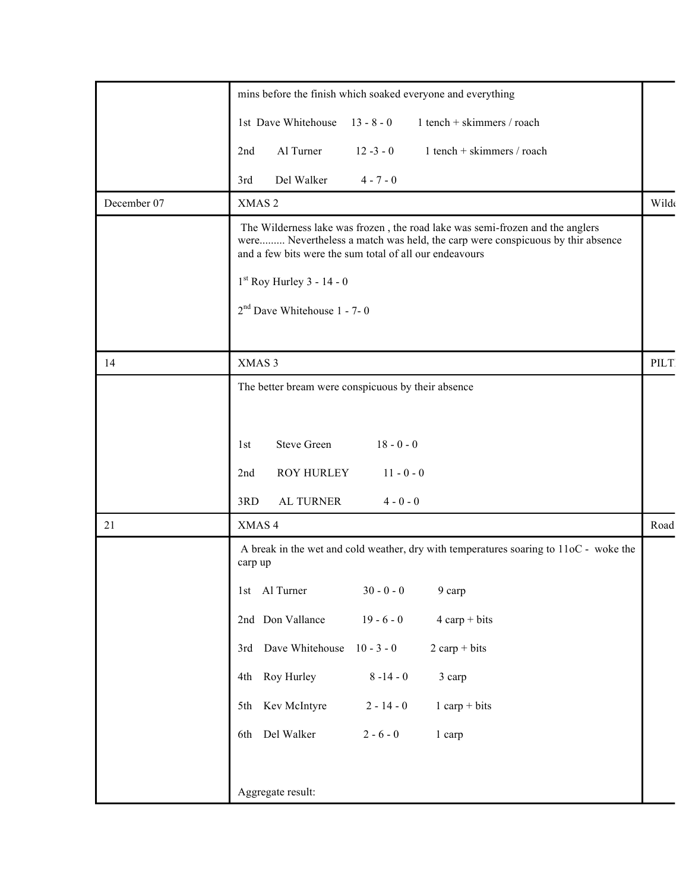|             | mins before the finish which soaked everyone and everything                                                                                                                                                               |       |
|-------------|---------------------------------------------------------------------------------------------------------------------------------------------------------------------------------------------------------------------------|-------|
|             | 1st Dave Whitehouse<br>$1$ tench + skimmers / roach<br>$13 - 8 - 0$                                                                                                                                                       |       |
|             | Al Turner<br>$1$ tench + skimmers / roach<br>$12 - 3 - 0$<br>2nd                                                                                                                                                          |       |
|             | Del Walker<br>$4 - 7 - 0$<br>3rd                                                                                                                                                                                          |       |
| December 07 | XMAS <sub>2</sub>                                                                                                                                                                                                         | Wilde |
|             | The Wilderness lake was frozen, the road lake was semi-frozen and the anglers<br>were Nevertheless a match was held, the carp were conspicuous by thir absence<br>and a few bits were the sum total of all our endeavours |       |
|             | $1st$ Roy Hurley 3 - 14 - 0                                                                                                                                                                                               |       |
|             | $2nd$ Dave Whitehouse 1 - 7- 0                                                                                                                                                                                            |       |
|             |                                                                                                                                                                                                                           |       |
| 14          | XMAS 3                                                                                                                                                                                                                    | PILT  |
|             | The better bream were conspicuous by their absence                                                                                                                                                                        |       |
|             |                                                                                                                                                                                                                           |       |
|             | Steve Green<br>$18 - 0 - 0$<br>1st                                                                                                                                                                                        |       |
|             | <b>ROY HURLEY</b><br>$11 - 0 - 0$<br>2nd                                                                                                                                                                                  |       |
|             | AL TURNER<br>3RD<br>$4 - 0 - 0$                                                                                                                                                                                           |       |
| $21\,$      | XMAS 4                                                                                                                                                                                                                    | Road  |
|             | A break in the wet and cold weather, dry with temperatures soaring to 11oC - woke the<br>carp up                                                                                                                          |       |
|             | $30 - 0 - 0$<br>1st Al Turner<br>9 carp                                                                                                                                                                                   |       |
|             | 2nd Don Vallance<br>$19 - 6 - 0$<br>$4 \text{ carp} + \text{bits}$                                                                                                                                                        |       |
|             | 3rd Dave Whitehouse 10 - 3 - 0<br>$2 \text{ carp} + \text{bits}$                                                                                                                                                          |       |
|             | 4th Roy Hurley<br>$8 - 14 - 0$<br>3 carp                                                                                                                                                                                  |       |
|             | 5th Kev McIntyre<br>$1$ carp + bits<br>$2 - 14 - 0$                                                                                                                                                                       |       |
|             | 6th Del Walker<br>$2 - 6 - 0$<br>1 carp                                                                                                                                                                                   |       |
|             |                                                                                                                                                                                                                           |       |
|             | Aggregate result:                                                                                                                                                                                                         |       |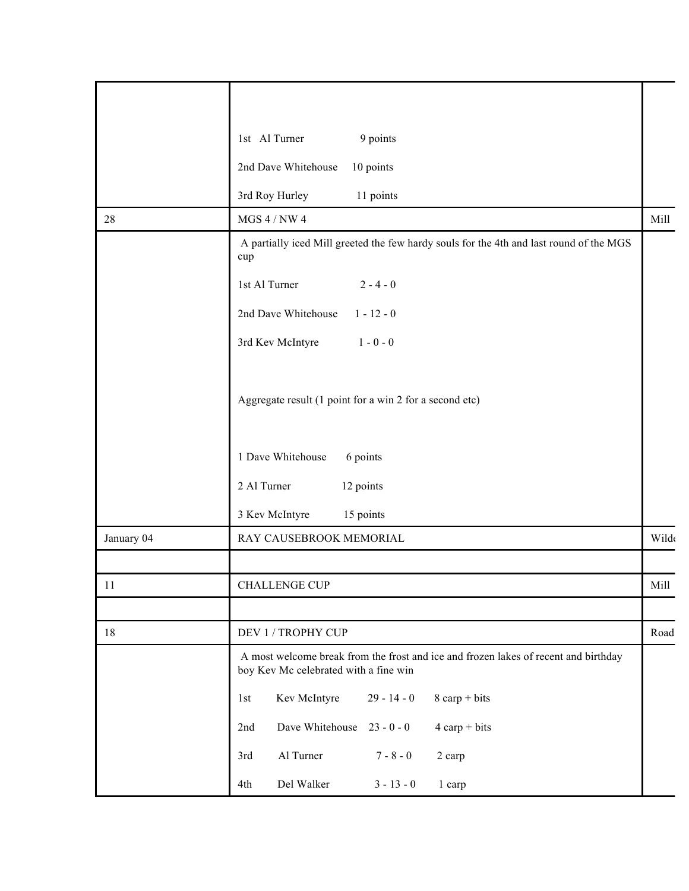|            | 1st Al Turner<br>9 points                                                                                                    |              |
|------------|------------------------------------------------------------------------------------------------------------------------------|--------------|
|            | 2nd Dave Whitehouse<br>10 points                                                                                             |              |
|            | 3rd Roy Hurley<br>11 points                                                                                                  |              |
| 28         | $MGS$ 4 / NW 4 $\,$                                                                                                          | Mill         |
|            | A partially iced Mill greeted the few hardy souls for the 4th and last round of the MGS<br>cup                               |              |
|            | 1st Al Turner<br>$2 - 4 - 0$                                                                                                 |              |
|            | 2nd Dave Whitehouse<br>$1 - 12 - 0$                                                                                          |              |
|            | 3rd Kev McIntyre<br>$1 - 0 - 0$                                                                                              |              |
|            |                                                                                                                              |              |
|            | Aggregate result (1 point for a win 2 for a second etc)                                                                      |              |
|            |                                                                                                                              |              |
|            | 1 Dave Whitehouse<br>6 points                                                                                                |              |
|            | 12 points<br>2 Al Turner                                                                                                     |              |
|            | 3 Kev McIntyre<br>15 points                                                                                                  |              |
| January 04 | RAY CAUSEBROOK MEMORIAL                                                                                                      | Wilde        |
|            |                                                                                                                              |              |
| 11         | CHALLENGE CUP                                                                                                                | Mill         |
|            |                                                                                                                              |              |
| $18\,$     | DEV 1 / TROPHY CUP                                                                                                           | ${\tt Road}$ |
|            | A most welcome break from the frost and ice and frozen lakes of recent and birthday<br>boy Kev Mc celebrated with a fine win |              |
|            | Kev McIntyre<br>$29 - 14 - 0$<br>$8 \text{ carp} + \text{bits}$<br>1st                                                       |              |
|            | Dave Whitehouse 23 - 0 - 0<br>$4 \text{ carp} + \text{bits}$<br>2nd                                                          |              |
|            | Al Turner<br>$7 - 8 - 0$<br>3rd<br>2 carp                                                                                    |              |
|            | Del Walker<br>$3 - 13 - 0$<br>4th<br>1 carp                                                                                  |              |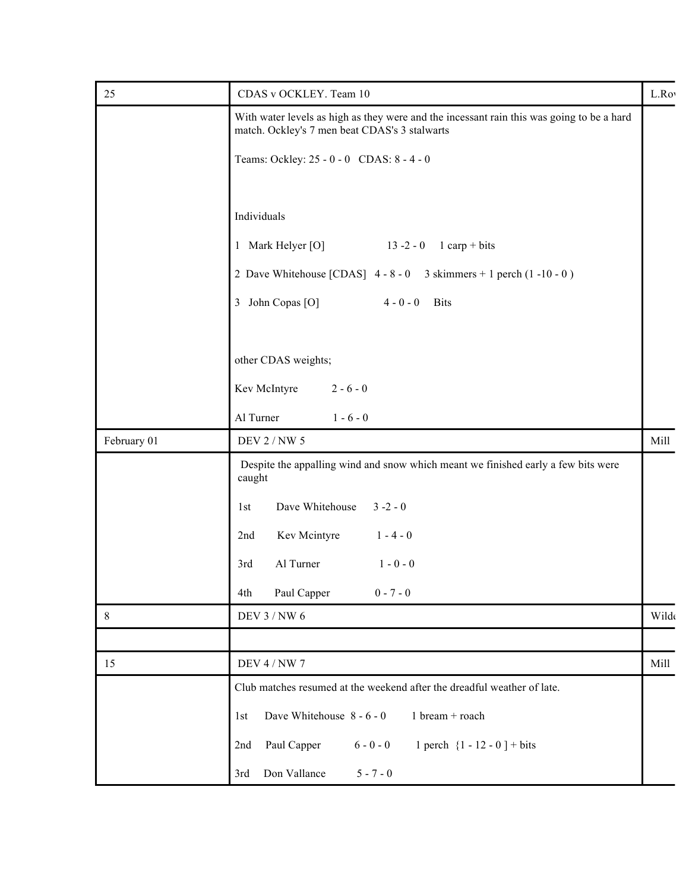| 25          | CDAS v OCKLEY. Team 10                                                                                                                     | L.Roy |
|-------------|--------------------------------------------------------------------------------------------------------------------------------------------|-------|
|             | With water levels as high as they were and the incessant rain this was going to be a hard<br>match. Ockley's 7 men beat CDAS's 3 stalwarts |       |
|             | Teams: Ockley: 25 - 0 - 0 CDAS: 8 - 4 - 0                                                                                                  |       |
|             |                                                                                                                                            |       |
|             | Individuals                                                                                                                                |       |
|             | 1 Mark Helyer [O]<br>$13 - 2 - 0$ 1 carp + bits                                                                                            |       |
|             | 2 Dave Whitehouse [CDAS] $4 - 8 - 0$ 3 skimmers + 1 perch (1-10-0)                                                                         |       |
|             | 3 John Copas [O]<br>$4 - 0 - 0$ Bits                                                                                                       |       |
|             |                                                                                                                                            |       |
|             | other CDAS weights;                                                                                                                        |       |
|             | Kev McIntyre<br>$2 - 6 - 0$                                                                                                                |       |
|             | Al Turner<br>$1 - 6 - 0$                                                                                                                   |       |
| February 01 | DEV 2 / NW 5                                                                                                                               | Mill  |
|             | Despite the appalling wind and snow which meant we finished early a few bits were<br>caught                                                |       |
|             | Dave Whitehouse 3-2-0<br>1st                                                                                                               |       |
|             | Kev Mcintyre<br>$1 - 4 - 0$<br>2nd                                                                                                         |       |
|             | Al Turner<br>$1 - 0 - 0$<br>3rd                                                                                                            |       |
|             | Paul Capper<br>$0 - 7 - 0$<br>4th                                                                                                          |       |
| $8\,$       | DEV 3 / NW 6                                                                                                                               | Wilde |
|             |                                                                                                                                            |       |
| 15          | <b>DEV 4 / NW 7</b>                                                                                                                        | Mill  |
|             | Club matches resumed at the weekend after the dreadful weather of late.                                                                    |       |
|             | Dave Whitehouse 8 - 6 - 0<br>1 bream + roach<br>1st                                                                                        |       |
|             | Paul Capper<br>$6 - 0 - 0$<br>1 perch $\{1 - 12 - 0\}$ + bits<br>2nd                                                                       |       |
|             | 3rd Don Vallance<br>$5 - 7 - 0$                                                                                                            |       |